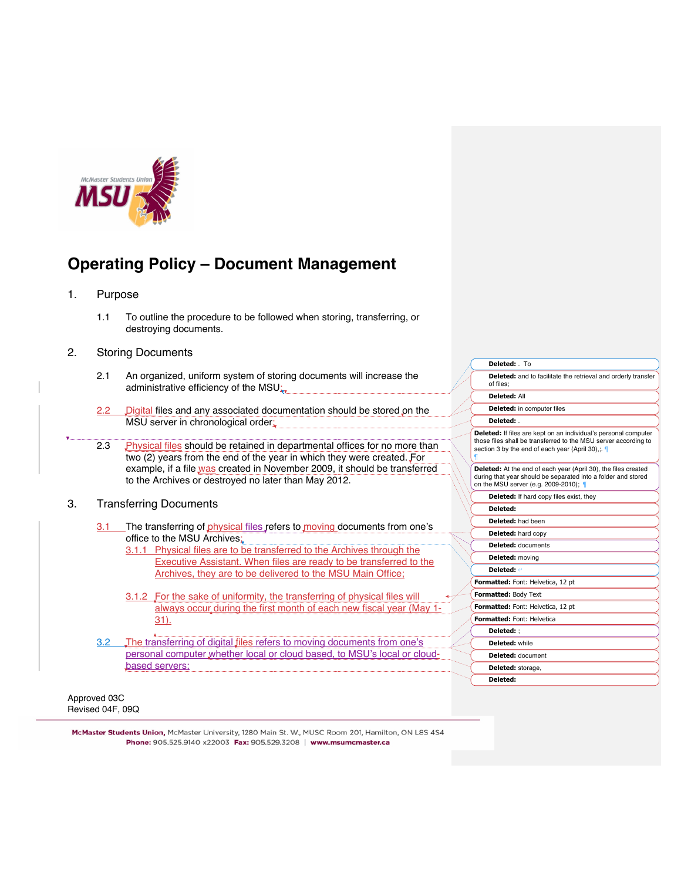

## 1. Purpose

1.1 To outline the procedure to be followed when storing, transferring, or destroying documents.

## 2. Storing Documents

| 2.1 | An organized, uniform system of storing documents will increase the |
|-----|---------------------------------------------------------------------|
|     | administrative efficiency of the MSU:                               |

- 2.2 Digital files and any associated documentation should be stored on the MSU server in chronological order;
- 2.3 Physical files should be retained in departmental offices for no more than two (2) years from the end of the year in which they were created. For example, if a file was created in November 2009, it should be transferred to the Archives or destroyed no later than May 2012.
- 3. Transferring Documents
	- 3.1 The transferring of physical files refers to moving documents from one's office to the MSU Archives;
		- 3.1.1 Physical files are to be transferred to the Archives through the Executive Assistant. When files are ready to be transferred to the Archives, they are to be delivered to the MSU Main Office;
		- 3.1.2 For the sake of uniformity, the transferring of physical files will always occur during the first month of each new fiscal year (May 1-31).
	- 3.2 The transferring of digital files refers to moving documents from one's personal computer whether local or cloud based, to MSU's local or cloudbased servers;

**Deleted:** . **Deleted:** If files are kept on an individual's personal computer those files shall be transferred to the MSU server according to section 3 by the end of each year (April 30),;. ¶ **Deleted:** At the end of each year (April 30), the files created during that year should be separated into a folder and stored on the MSU server (e.g. 2009-2010); ¶ **Deleted:** If hard copy files exist, they **Deleted: Deleted:** had been **Deleted:** hard copy **Deleted:** documents **Deleted:** moving **Deleted:** ! **Formatted:** Font: Helvetica, 12 pt **Formatted:** Body Text **Formatted:** Font: Helvetica, 12 pt **Formatted:** Font: Helvetica **Deleted:** ; **Deleted:** while **Deleted:** document **Deleted:** storage, **Deleted:** 

**Deleted:** and to facilitate the retrieval and orderly transfer

**Deleted:** . To

**Deleted:** in computer files

of files; **Deleted:** All

Approved 03C Revised 04F, 09Q

McMaster Students Union, McMaster University, 1280 Main St. W., MUSC Room 201, Hamilton, ON L8S 4S4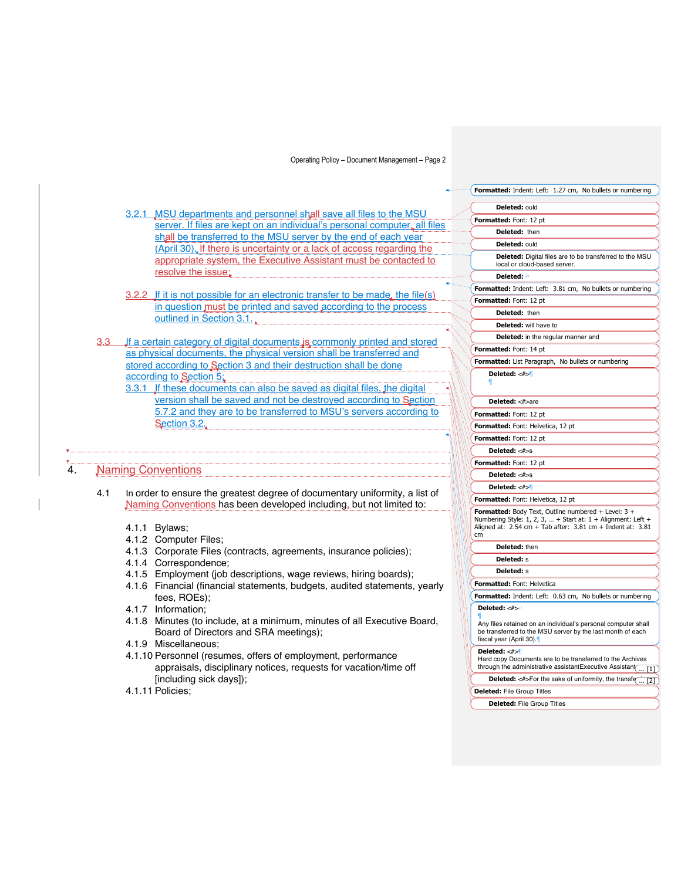|                  |                                                                                                                                                          | Formatted: Indent: Left: 1.27 cm, No bullets or numbering                                                                                                                                     |
|------------------|----------------------------------------------------------------------------------------------------------------------------------------------------------|-----------------------------------------------------------------------------------------------------------------------------------------------------------------------------------------------|
|                  |                                                                                                                                                          | Deleted: ould                                                                                                                                                                                 |
|                  | 3.2.1 MSU departments and personnel shall save all files to the MSU<br>server. If files are kept on an individual's personal computer, all files         | Formatted: Font: 12 pt                                                                                                                                                                        |
|                  | shall be transferred to the MSU server by the end of each year                                                                                           | Deleted: then                                                                                                                                                                                 |
|                  |                                                                                                                                                          | Deleted: ould                                                                                                                                                                                 |
|                  | (April 30). If there is uncertainty or a lack of access regarding the<br>appropriate system, the Executive Assistant must be contacted to                | Deleted: Digital files are to be transferred to the MSU<br>local or cloud-based server.                                                                                                       |
|                  | resolve the issue;                                                                                                                                       | Deleted: 4                                                                                                                                                                                    |
|                  |                                                                                                                                                          | Formatted: Indent: Left: 3.81 cm, No bullets or numbering                                                                                                                                     |
|                  | 3.2.2 If it is not possible for an electronic transfer to be made, the file(s)                                                                           | Formatted: Font: 12 pt                                                                                                                                                                        |
|                  | in question must be printed and saved according to the process                                                                                           | Deleted: then                                                                                                                                                                                 |
|                  | outlined in Section 3.1.                                                                                                                                 | <b>Deleted:</b> will have to                                                                                                                                                                  |
|                  |                                                                                                                                                          | Deleted: in the regular manner and                                                                                                                                                            |
| 3.3 <sub>2</sub> | If a certain category of digital documents is commonly printed and stored                                                                                | Formatted: Font: 14 pt                                                                                                                                                                        |
|                  | as physical documents, the physical version shall be transferred and                                                                                     | Formatted: List Paragraph, No bullets or numbering                                                                                                                                            |
|                  | stored according to Section 3 and their destruction shall be done                                                                                        | Deleted: $<\#>$                                                                                                                                                                               |
|                  | according to Section 5:                                                                                                                                  |                                                                                                                                                                                               |
|                  | 3.3.1 If these documents can also be saved as digital files, the digital                                                                                 |                                                                                                                                                                                               |
|                  | version shall be saved and not be destroyed according to Section                                                                                         | Deleted: <#>are                                                                                                                                                                               |
|                  | 5.7.2 and they are to be transferred to MSU's servers according to                                                                                       | Formatted: Font: 12 pt                                                                                                                                                                        |
|                  | Section 3.2.                                                                                                                                             | Formatted: Font: Helvetica, 12 pt                                                                                                                                                             |
|                  |                                                                                                                                                          | Formatted: Font: 12 pt                                                                                                                                                                        |
|                  |                                                                                                                                                          | Deleted: <#>s                                                                                                                                                                                 |
|                  |                                                                                                                                                          | Formatted: Font: 12 pt                                                                                                                                                                        |
|                  | <b>Naming Conventions</b>                                                                                                                                | Deleted: <#>s                                                                                                                                                                                 |
|                  |                                                                                                                                                          | Deleted: $\lt\neq$                                                                                                                                                                            |
| 4.1              | In order to ensure the greatest degree of documentary uniformity, a list of                                                                              | Formatted: Font: Helvetica, 12 pt                                                                                                                                                             |
|                  | Naming Conventions has been developed including, but not limited to:<br>4.1.1 Bylaws:<br>4.1.2 Computer Files;                                           | Formatted: Body Text, Outline numbered + Level: 3 +<br>Numbering Style: 1, 2, 3,  + Start at: 1 + Alignment: Left +<br>Aligned at: $2.54$ cm + Tab after: $3.81$ cm + Indent at: $3.81$<br>cm |
|                  | 4.1.3 Corporate Files (contracts, agreements, insurance policies);                                                                                       | Deleted: then                                                                                                                                                                                 |
|                  | 4.1.4 Correspondence;                                                                                                                                    | <b>Deleted:</b> s                                                                                                                                                                             |
|                  | 4.1.5 Employment (job descriptions, wage reviews, hiring boards);                                                                                        | <b>Deleted:</b> s                                                                                                                                                                             |
|                  | 4.1.6 Financial (financial statements, budgets, audited statements, yearly                                                                               | Formatted: Font: Helvetica                                                                                                                                                                    |
|                  | fees, ROEs);                                                                                                                                             | Formatted: Indent: Left: 0.63 cm, No bullets or numbering                                                                                                                                     |
|                  | 4.1.7 Information:                                                                                                                                       | Deleted: <#>                                                                                                                                                                                  |
|                  | 4.1.8 Minutes (to include, at a minimum, minutes of all Executive Board,<br>Board of Directors and SRA meetings);                                        | Any files retained on an individual's personal computer shall<br>be transferred to the MSU server by the last month of each<br>fiscal year (April 30).                                        |
|                  | 4.1.9 Miscellaneous;<br>4.1.10 Personnel (resumes, offers of employment, performance<br>appraisals, disciplinary notices, requests for vacation/time off | Deleted: <#><br>Hard copy Documents are to be transferred to the Archives<br>through the administrative assistantExecutive Assistant<br>[1] )                                                 |
|                  | [including sick days]);                                                                                                                                  | <b>Deleted:</b> $\leq$ #>For the sake of uniformity, the transfe $\boxed{ [2]}$                                                                                                               |
|                  | 4.1.11 Policies:                                                                                                                                         | <b>Deleted:</b> File Group Titles                                                                                                                                                             |

**Deleted:** File Group Titles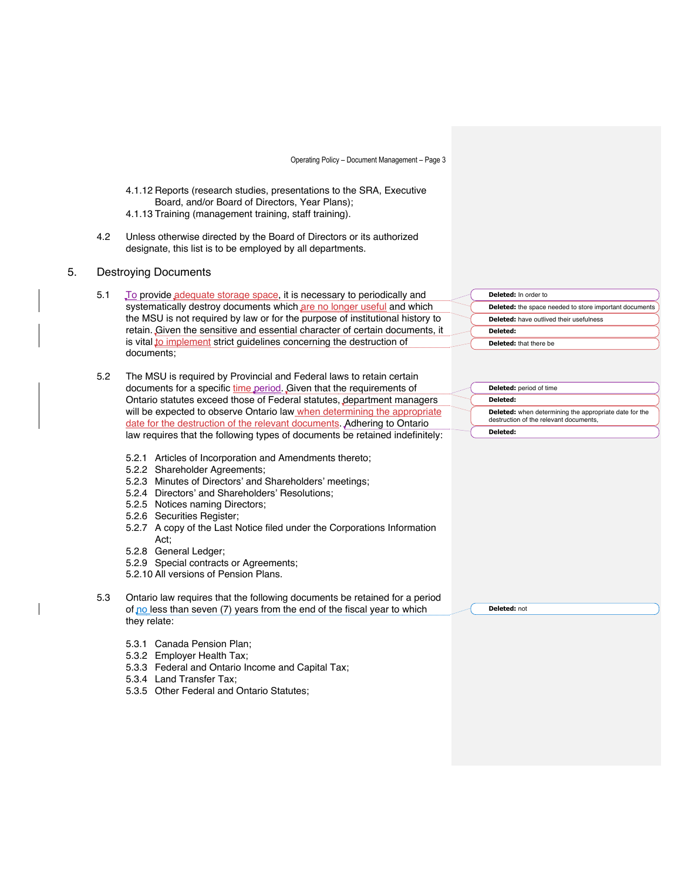- 4.1.12 Reports (research studies, presentations to the SRA, Executive Board, and/or Board of Directors, Year Plans);
- 4.1.13 Training (management training, staff training).
- 4.2 Unless otherwise directed by the Board of Directors or its authorized designate, this list is to be employed by all departments.
- 5. Destroying Documents
	- 5.1 To provide adequate storage space, it is necessary to periodically and systematically destroy documents which are no longer useful and which the MSU is not required by law or for the purpose of institutional history to retain. Given the sensitive and essential character of certain documents, it is vital to implement strict guidelines concerning the destruction of documents;
	- 5.2 The MSU is required by Provincial and Federal laws to retain certain documents for a specific time period. Given that the requirements of Ontario statutes exceed those of Federal statutes, department managers will be expected to observe Ontario law when determining the appropriate date for the destruction of the relevant documents. Adhering to Ontario law requires that the following types of documents be retained indefinitely:
		- 5.2.1 Articles of Incorporation and Amendments thereto;
		- 5.2.2 Shareholder Agreements;
		- 5.2.3 Minutes of Directors' and Shareholders' meetings;
		- 5.2.4 Directors' and Shareholders' Resolutions;
		- 5.2.5 Notices naming Directors;
		- 5.2.6 Securities Register;
		- 5.2.7 A copy of the Last Notice filed under the Corporations Information Act;
		- 5.2.8 General Ledger;
		- 5.2.9 Special contracts or Agreements;
		- 5.2.10 All versions of Pension Plans.
	- 5.3 Ontario law requires that the following documents be retained for a period of  $p_0$  less than seven (7) years from the end of the fiscal year to which they relate:
		- 5.3.1 Canada Pension Plan;
		- 5.3.2 Employer Health Tax;
		- 5.3.3 Federal and Ontario Income and Capital Tax;
		- 5.3.4 Land Transfer Tax;
		- 5.3.5 Other Federal and Ontario Statutes;

**Deleted:** In order to **Deleted:** the space needed to store important documents **Deleted:** have outlived their usefulness **Deleted: Deleted:** that there be

| <b>Deleted:</b> period of time                                                                          |
|---------------------------------------------------------------------------------------------------------|
| Deleted:                                                                                                |
| <b>Deleted:</b> when determining the appropriate date for the<br>destruction of the relevant documents. |
| Deleted:                                                                                                |

**Deleted:** not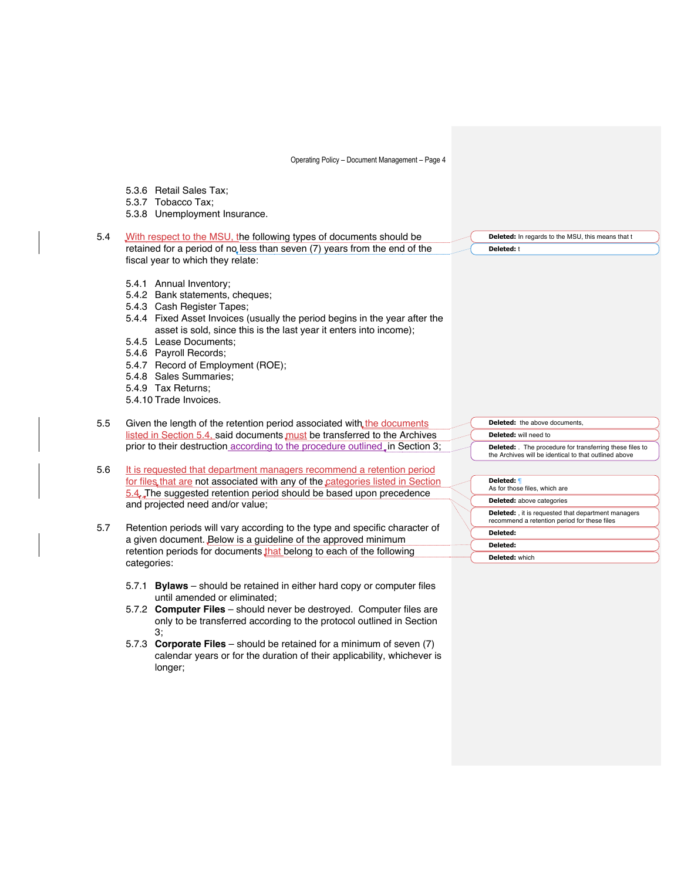|     | 5.3.6 Retail Sales Tax;                                                                                                                                                                                                                                                                                                                                                                |                                                                                                                        |
|-----|----------------------------------------------------------------------------------------------------------------------------------------------------------------------------------------------------------------------------------------------------------------------------------------------------------------------------------------------------------------------------------------|------------------------------------------------------------------------------------------------------------------------|
|     | 5.3.7 Tobacco Tax;                                                                                                                                                                                                                                                                                                                                                                     |                                                                                                                        |
|     | 5.3.8 Unemployment Insurance.                                                                                                                                                                                                                                                                                                                                                          |                                                                                                                        |
| 5.4 | With respect to the MSU, the following types of documents should be                                                                                                                                                                                                                                                                                                                    | Deleted: In regards to the MSU, this means that t                                                                      |
|     | retained for a period of no less than seven (7) years from the end of the                                                                                                                                                                                                                                                                                                              | <b>Deleted: t</b>                                                                                                      |
|     | fiscal year to which they relate:                                                                                                                                                                                                                                                                                                                                                      |                                                                                                                        |
|     | 5.4.1 Annual Inventory;<br>5.4.2 Bank statements, cheques;<br>5.4.3 Cash Register Tapes;<br>5.4.4 Fixed Asset Invoices (usually the period begins in the year after the<br>asset is sold, since this is the last year it enters into income);<br>5.4.5 Lease Documents:<br>5.4.6 Payroll Records;<br>5.4.7 Record of Employment (ROE);<br>5.4.8 Sales Summaries:<br>5.4.9 Tax Returns: |                                                                                                                        |
|     | 5.4.10 Trade Invoices.                                                                                                                                                                                                                                                                                                                                                                 |                                                                                                                        |
|     |                                                                                                                                                                                                                                                                                                                                                                                        |                                                                                                                        |
| 5.5 | Given the length of the retention period associated with the documents                                                                                                                                                                                                                                                                                                                 | <b>Deleted:</b> the above documents,                                                                                   |
|     | listed in Section 5.4, said documents must be transferred to the Archives                                                                                                                                                                                                                                                                                                              | Deleted: will need to                                                                                                  |
|     | prior to their destruction according to the procedure outlined, in Section 3;                                                                                                                                                                                                                                                                                                          | <b>Deleted:</b> The procedure for transferring these files to<br>the Archives will be identical to that outlined above |
| 5.6 | It is requested that department managers recommend a retention period                                                                                                                                                                                                                                                                                                                  |                                                                                                                        |
|     | for files that are not associated with any of the categories listed in Section                                                                                                                                                                                                                                                                                                         | Deleted: ¶                                                                                                             |
|     | 5.4. The suggested retention period should be based upon precedence                                                                                                                                                                                                                                                                                                                    | As for those files, which are                                                                                          |
|     | and projected need and/or value;                                                                                                                                                                                                                                                                                                                                                       | <b>Deleted:</b> above categories                                                                                       |
|     |                                                                                                                                                                                                                                                                                                                                                                                        | <b>Deleted:</b> , it is requested that department managers<br>recommend a retention period for these files             |
| 5.7 | Retention periods will vary according to the type and specific character of                                                                                                                                                                                                                                                                                                            | Deleted:                                                                                                               |
|     | a given document. Below is a guideline of the approved minimum                                                                                                                                                                                                                                                                                                                         | Deleted:                                                                                                               |
|     | retention periods for documents that belong to each of the following                                                                                                                                                                                                                                                                                                                   | <b>Deleted:</b> which                                                                                                  |
|     | categories:                                                                                                                                                                                                                                                                                                                                                                            |                                                                                                                        |
|     | 5.7.1 Bylaws - should be retained in either hard copy or computer files<br>until amended or eliminated;                                                                                                                                                                                                                                                                                |                                                                                                                        |
|     |                                                                                                                                                                                                                                                                                                                                                                                        |                                                                                                                        |
|     | 5.7.2 Computer Files - should never be destroyed. Computer files are<br>only to be transferred according to the protocol outlined in Section<br>З,                                                                                                                                                                                                                                     |                                                                                                                        |

5.7.3 **Corporate Files** – should be retained for a minimum of seven (7) calendar years or for the duration of their applicability, whichever is longer;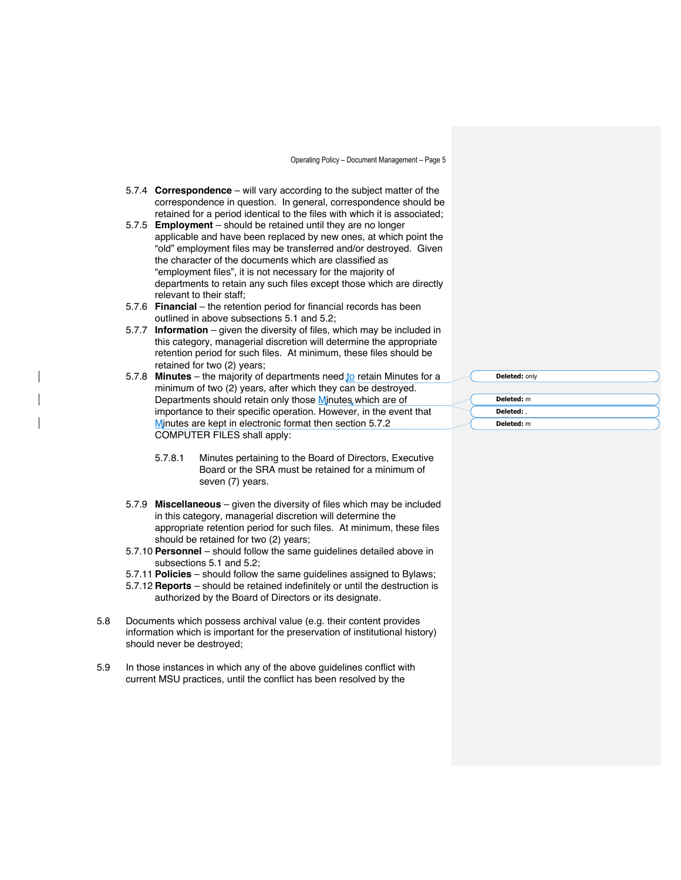- 5.7.4 **Correspondence** will vary according to the subject matter of the correspondence in question. In general, correspondence should be retained for a period identical to the files with which it is associated;
- 5.7.5 **Employment** should be retained until they are no longer applicable and have been replaced by new ones, at which point the "old" employment files may be transferred and/or destroyed. Given the character of the documents which are classified as "employment files", it is not necessary for the majority of departments to retain any such files except those which are directly relevant to their staff;
- 5.7.6 **Financial** the retention period for financial records has been outlined in above subsections 5.1 and 5.2;
- 5.7.7 **Information** given the diversity of files, which may be included in this category, managerial discretion will determine the appropriate retention period for such files. At minimum, these files should be retained for two (2) years;
- 5.7.8 **Minutes** the majority of departments need to retain Minutes for a minimum of two (2) years, after which they can be destroyed. Departments should retain only those Minutes which are of importance to their specific operation. However, in the event that Minutes are kept in electronic format then section 5.7.2 COMPUTER FILES shall apply:
	- 5.7.8.1 Minutes pertaining to the Board of Directors, Executive Board or the SRA must be retained for a minimum of seven (7) years.
- 5.7.9 **Miscellaneous** given the diversity of files which may be included in this category, managerial discretion will determine the appropriate retention period for such files. At minimum, these files should be retained for two (2) years;
- 5.7.10 **Personnel** should follow the same guidelines detailed above in subsections 5.1 and 5.2;
- 5.7.11 **Policies** should follow the same guidelines assigned to Bylaws;
- 5.7.12 **Reports** should be retained indefinitely or until the destruction is authorized by the Board of Directors or its designate.
- 5.8 Documents which possess archival value (e.g. their content provides information which is important for the preservation of institutional history) should never be destroyed;
- 5.9 In those instances in which any of the above guidelines conflict with current MSU practices, until the conflict has been resolved by the

| Deleted: only |  |
|---------------|--|
|               |  |
| Deleted: m    |  |
| Deleted:      |  |
| Deleted: m    |  |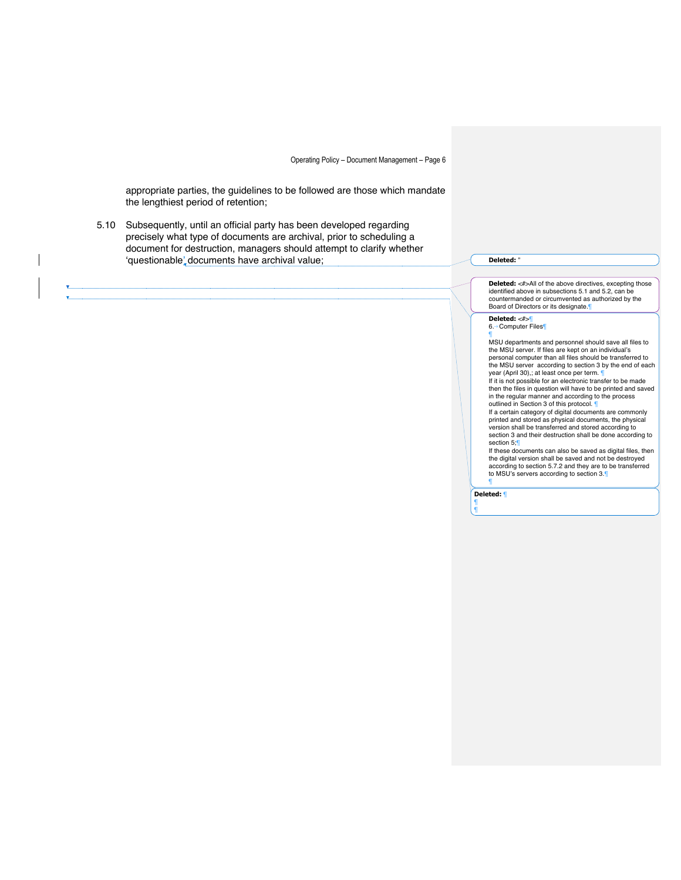appropriate parties, the guidelines to be followed are those which mandate the lengthiest period of retention;

5.10 Subsequently, until an official party has been developed regarding precisely what type of documents are archival, prior to scheduling a document for destruction, managers should attempt to clarify whether 'questionable' documents have archival value;<br> **Deleted:** "

**Deleted:** <#>All of the above directives, excepting those identified above in subsections 5.1 and 5.2, can be countermanded or circumvented as authorized by the Board of Directors or its designate.¶

**Deleted:** <#>¶ 6.→ Computer Files

¶ MSU departments and personnel should save all files to the MSU server. If files are kept on an individual's personal computer than all files should be transferred to the MSU server according to section 3 by the end of each

year (April 30),; at least once per term. ¶ If it is not possible for an electronic transfer to be made then the files in question will have to be printed and saved in the regular manner and according to the process

outlined in Section 3 of this protocol.

If a certain category of digital documents are commonly printed and stored as physical documents, the physical version shall be transferred and stored according to section 3 and their destruction shall be done according to section 5;¶

If these documents can also be saved as digital files, then the digital version shall be saved and not be destroyed according to section 5.7.2 and they are to be transferred to MSU's servers according to section 3.¶

¶ **Deleted:** ¶

¶ ¶